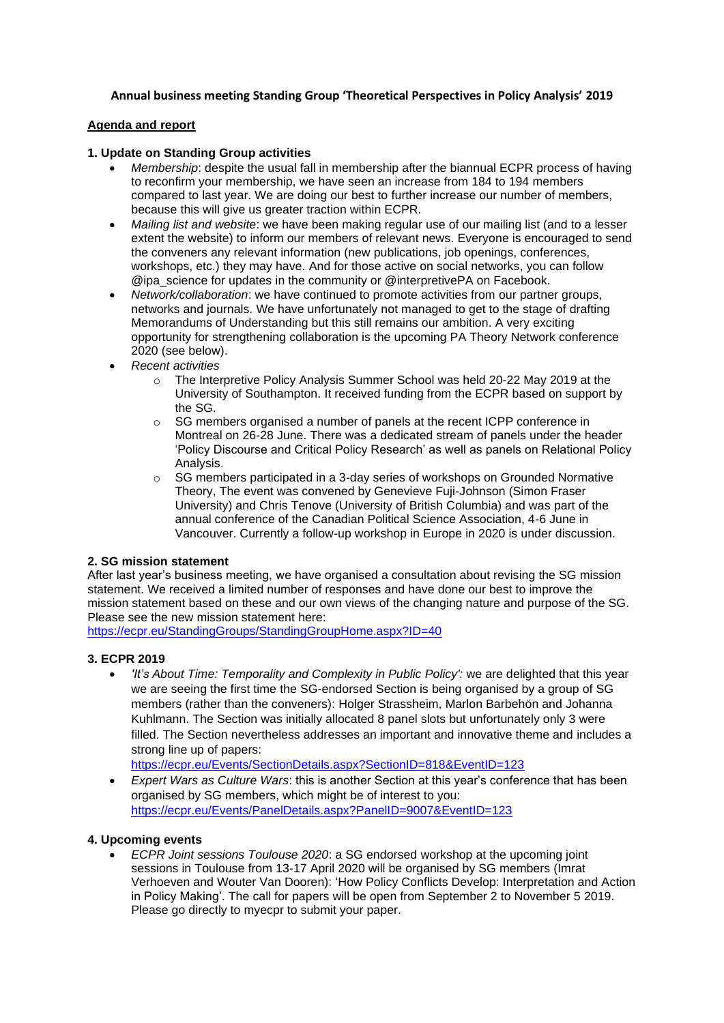# **Annual business meeting Standing Group 'Theoretical Perspectives in Policy Analysis' 2019**

### **Agenda and report**

#### **1. Update on Standing Group activities**

- *Membership*: despite the usual fall in membership after the biannual ECPR process of having to reconfirm your membership, we have seen an increase from 184 to 194 members compared to last year. We are doing our best to further increase our number of members, because this will give us greater traction within ECPR.
- *Mailing list and website*: we have been making regular use of our mailing list (and to a lesser extent the website) to inform our members of relevant news. Everyone is encouraged to send the conveners any relevant information (new publications, job openings, conferences, workshops, etc.) they may have. And for those active on social networks, you can follow @ipa\_science for updates in the community or @interpretivePA on Facebook.
- *Network/collaboration*: we have continued to promote activities from our partner groups, networks and journals. We have unfortunately not managed to get to the stage of drafting Memorandums of Understanding but this still remains our ambition. A very exciting opportunity for strengthening collaboration is the upcoming PA Theory Network conference 2020 (see below).
- *Recent activities*
	- o The Interpretive Policy Analysis Summer School was held 20-22 May 2019 at the University of Southampton. It received funding from the ECPR based on support by the SG.
	- o SG members organised a number of panels at the recent ICPP conference in Montreal on 26-28 June. There was a dedicated stream of panels under the header 'Policy Discourse and Critical Policy Research' as well as panels on Relational Policy Analysis.
	- $\circ$  SG members participated in a 3-day series of workshops on Grounded Normative Theory, The event was convened by Genevieve Fuji-Johnson (Simon Fraser University) and Chris Tenove (University of British Columbia) and was part of the annual conference of the Canadian Political Science Association, 4-6 June in Vancouver. Currently a follow-up workshop in Europe in 2020 is under discussion.

## **2. SG mission statement**

After last year's business meeting, we have organised a consultation about revising the SG mission statement. We received a limited number of responses and have done our best to improve the mission statement based on these and our own views of the changing nature and purpose of the SG. Please see the new mission statement here:

<https://ecpr.eu/StandingGroups/StandingGroupHome.aspx?ID=40>

## **3. ECPR 2019**

• *'It's About Time: Temporality and Complexity in Public Policy':* we are delighted that this year we are seeing the first time the SG-endorsed Section is being organised by a group of SG members (rather than the conveners): Holger Strassheim, Marlon Barbehön and Johanna Kuhlmann. The Section was initially allocated 8 panel slots but unfortunately only 3 were filled. The Section nevertheless addresses an important and innovative theme and includes a strong line up of papers:

<https://ecpr.eu/Events/SectionDetails.aspx?SectionID=818&EventID=123>

• *Expert Wars as Culture Wars*: this is another Section at this year's conference that has been organised by SG members, which might be of interest to you: <https://ecpr.eu/Events/PanelDetails.aspx?PanelID=9007&EventID=123>

## **4. Upcoming events**

• *ECPR Joint sessions Toulouse 2020*: a SG endorsed workshop at the upcoming joint sessions in Toulouse from 13-17 April 2020 will be organised by SG members (Imrat Verhoeven and Wouter Van Dooren): 'How Policy Conflicts Develop: Interpretation and Action in Policy Making'. The call for papers will be open from September 2 to November 5 2019. Please go directly to myecpr to submit your paper.